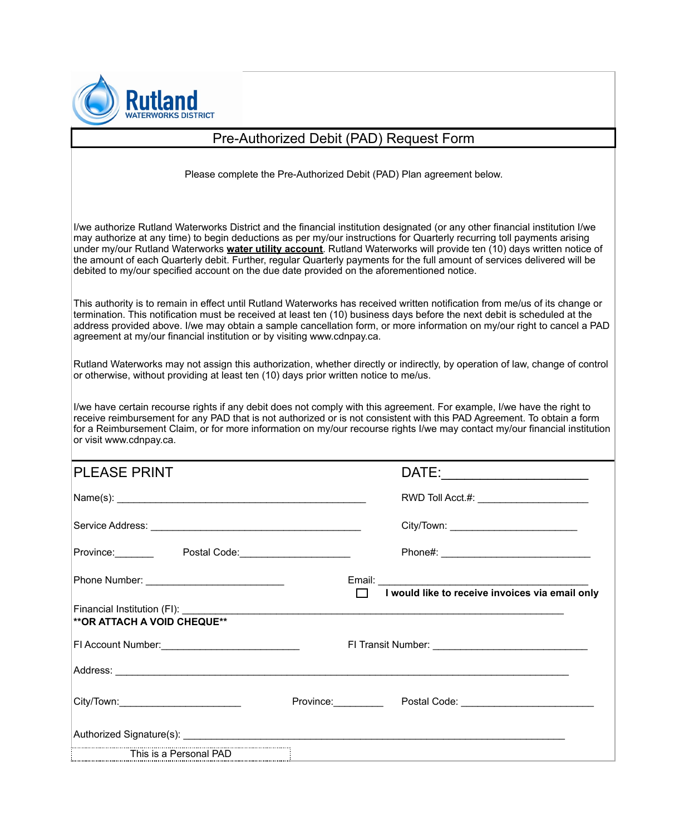

## Pre-Authorized Debit (PAD) Request Form

Please complete the Pre-Authorized Debit (PAD) Plan agreement below.

I/we authorize Rutland Waterworks District and the financial institution designated (or any other financial institution I/we may authorize at any time) to begin deductions as per my/our instructions for Quarterly recurring toll payments arising under my/our Rutland Waterworks **water utility account**. Rutland Waterworks will provide ten (10) days written notice of the amount of each Quarterly debit. Further, regular Quarterly payments for the full amount of services delivered will be debited to my/our specified account on the due date provided on the aforementioned notice.

This authority is to remain in effect until Rutland Waterworks has received written notification from me/us of its change or termination. This notification must be received at least ten (10) business days before the next debit is scheduled at the address provided above. I/we may obtain a sample cancellation form, or more information on my/our right to cancel a PAD agreement at my/our financial institution or by visiting www.cdnpay.ca.

Rutland Waterworks may not assign this authorization, whether directly or indirectly, by operation of law, change of control or otherwise, without providing at least ten (10) days prior written notice to me/us.

I/we have certain recourse rights if any debit does not comply with this agreement. For example, I/we have the right to receive reimbursement for any PAD that is not authorized or is not consistent with this PAD Agreement. To obtain a form for a Reimbursement Claim, or for more information on my/our recourse rights I/we may contact my/our financial institution or visit www.cdnpay.ca.

| IPLEASE PRINT                           |                                                        |
|-----------------------------------------|--------------------------------------------------------|
|                                         | RWD Toll Acct.#: _________________________             |
|                                         |                                                        |
| Province: Postal Code: Postal Code:     |                                                        |
|                                         |                                                        |
| <b>**OR ATTACH A VOID CHEQUE**</b>      |                                                        |
|                                         |                                                        |
|                                         |                                                        |
| City/Town:_____________________________ | Province: Postal Code: 2008. Province: 2008. Province: |
|                                         |                                                        |
| This is a Personal PAD                  |                                                        |